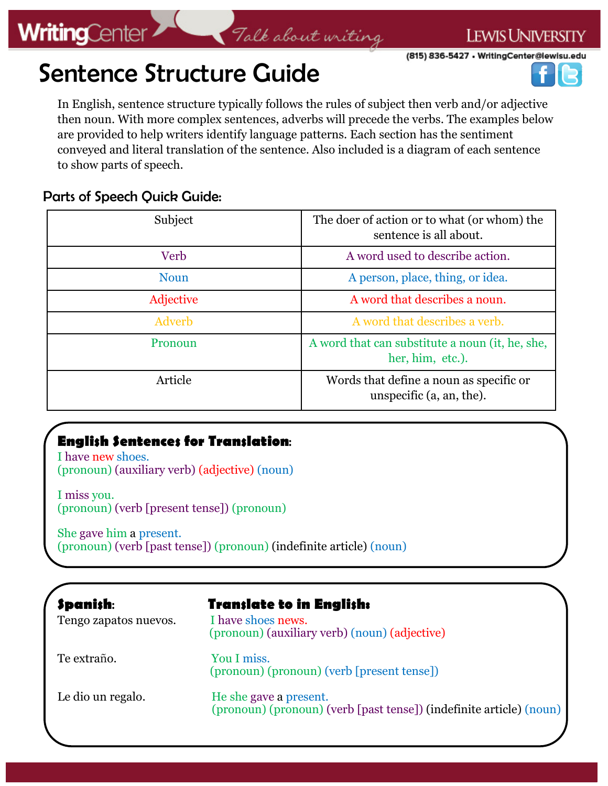## Talk about writing

(815) 836-5427 . WritingCenter@lewisu.edu

**LEWIS UNIVERSITY** 

# Sentence Structure Guide

In English, sentence structure typically follows the rules of subject then verb and/or adjective then noun. With more complex sentences, adverbs will precede the verbs. The examples below are provided to help writers identify language patterns. Each section has the sentiment conveyed and literal translation of the sentence. Also included is a diagram of each sentence to show parts of speech.

#### Parts of Speech Quick Guide:

| Subject     | The doer of action or to what (or whom) the<br>sentence is all about.  |
|-------------|------------------------------------------------------------------------|
| Verb        | A word used to describe action.                                        |
| <b>Noun</b> | A person, place, thing, or idea.                                       |
| Adjective   | A word that describes a noun.                                          |
| Adverb      | A word that describes a verb.                                          |
| Pronoun     | A word that can substitute a noun (it, he, she,<br>her, him, etc.).    |
| Article     | Words that define a noun as specific or<br>unspecific $(a, an, the)$ . |

### **English Sentences for Translation**:

I have new shoes. (pronoun) (auxiliary verb) (adjective) (noun)

I miss you. (pronoun) (verb [present tense]) (pronoun)

She gave him a present. (pronoun) (verb [past tense]) (pronoun) (indefinite article) (noun)

| <b>Spanish:</b><br>Tengo zapatos nuevos. | <b>Tran;late to in Engli;h:</b><br>I have shoes news.<br>(pronoun) (auxiliary verb) (noun) (adjective) |
|------------------------------------------|--------------------------------------------------------------------------------------------------------|
| Te extraño.                              | You I miss.<br>(pronoun) (pronoun) (verb [present tense])                                              |
| Le dio un regalo.                        | He she gave a present.<br>(pronoun) (pronoun) (verb [past tense]) (indefinite article) (noun)          |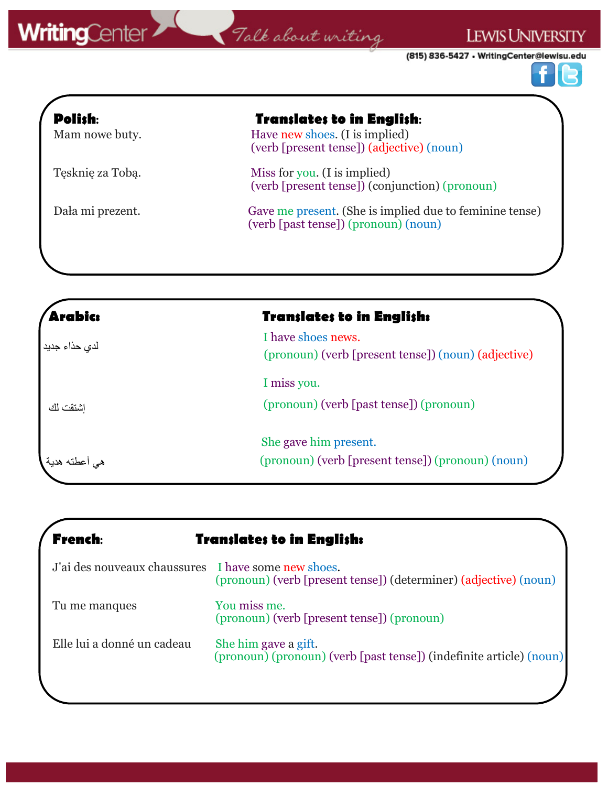# WritingCenter 7 Talk about uniting

(815) 836-5427 • WritingCenter@lewisu.edu

LEWIS UNIVERSITY



| <b>Polish:</b><br>Mam nowe buty. | <b>Translates to in English:</b><br>Have new shoes. (I is implied)<br>(verb [present tense]) (adjective) (noun) |
|----------------------------------|-----------------------------------------------------------------------------------------------------------------|
| Tęsknię za Tobą.                 | Miss for you. (I is implied)<br>(verb [present tense]) (conjunction) (pronoun)                                  |
| Dała mi prezent.                 | Gave me present. (She is implied due to feminine tense)<br>(verb [past tense]) (pronoun) (noun)                 |

| <b>Arabic:</b>  | <b>Translates to in English:</b>                                          |
|-----------------|---------------------------------------------------------------------------|
| لدى حذاء جديد   | I have shoes news.<br>(pronoun) (verb [present tense]) (noun) (adjective) |
|                 | I miss you.                                                               |
| اشتقت لك        | (pronoun) (verb [past tense]) (pronoun)                                   |
|                 | She gave him present.                                                     |
| هي اعطته هدية . | (pronoun) (verb [present tense]) (pronoun) (noun)                         |

| <b>French:</b>                                      | <b>Translates to in English:</b>                                                            |
|-----------------------------------------------------|---------------------------------------------------------------------------------------------|
| J'ai des nouveaux chaussures I have some new shoes. | (pronoun) (verb [present tense]) (determiner) (adjective) (noun)                            |
| Tu me manques                                       | You miss me.<br>(pronoun) (verb [present tense]) (pronoun)                                  |
| Elle lui a donné un cadeau                          | She him gave a gift.<br>(pronoun) (pronoun) (verb [past tense]) (indefinite article) (noun) |
|                                                     |                                                                                             |